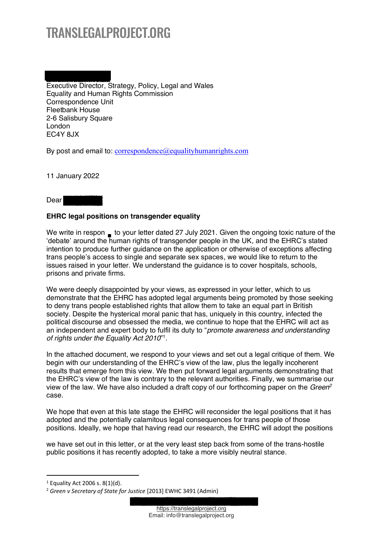# TRANSLEGALPROJECT.ORG

Executive Director, Strategy, Policy, Legal and Wales Equality and Human Rights Commission Correspondence Unit Fleetbank House 2-6 Salisbury Square London EC4Y 8JX

By post and email to:  $correspondence @ equality human rights.com$ 

11 January 2022

# Dear

## **EHRC legal positions on transgender equality**

We write in respon  $\blacksquare$  to your letter dated 27 July 2021. Given the ongoing toxic nature of the 'debate' around the human rights of transgender people in the UK, and the EHRC's stated intention to produce further guidance on the application or otherwise of exceptions affecting trans people's access to single and separate sex spaces, we would like to return to the issues raised in your letter. We understand the guidance is to cover hospitals, schools, prisons and private firms.

We were deeply disappointed by your views, as expressed in your letter, which to us demonstrate that the EHRC has adopted legal arguments being promoted by those seeking to deny trans people established rights that allow them to take an equal part in British society. Despite the hysterical moral panic that has, uniquely in this country, infected the political discourse and obsessed the media, we continue to hope that the EHRC will act as an independent and expert body to fulfil its duty to "*promote awareness and understanding of rights under the Equality Act 2010*´ 1.

In the attached document, we respond to your views and set out a legal critique of them. We begin with our understanding of the EHRC's view of the law, plus the legally incoherent results that emerge from this view. We then put forward legal arguments demonstrating that the EHRC's view of the law is contrary to the relevant authorities. Finally, we summarise our view of the law. We have also included a draft copy of our forthcoming paper on the *Green2* case.

We hope that even at this late stage the EHRC will reconsider the legal positions that it has adopted and the potentially calamitous legal consequences for trans people of those positions. Ideally, we hope that having read our research, the EHRC will adopt the positions

we have set out in this letter, or at the very least step back from some of the trans-hostile public positions it has recently adopted, to take a more visibly neutral stance.

 $1$  Equality Act 2006 s. 8(1)(d).

<sup>2</sup> *Green v Secretary of State for Justice* [2013] EWHC 3491 (Admin)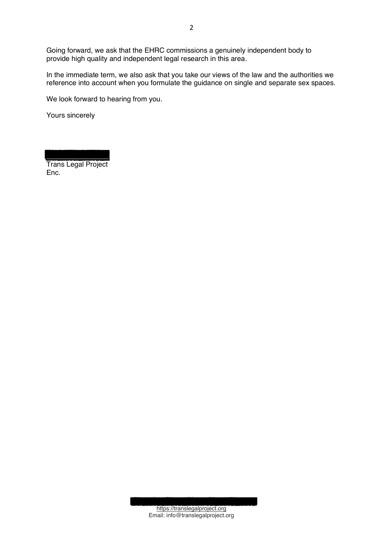Going forward, we ask that the EHRC commissions a genuinely independent body to provide high quality and independent legal research in this area.

In the immediate term, we also ask that you take our views of the law and the authorities we reference into account when you formulate the guidance on single and separate sex spaces.

We look forward to hearing from you.

Yours sincerely

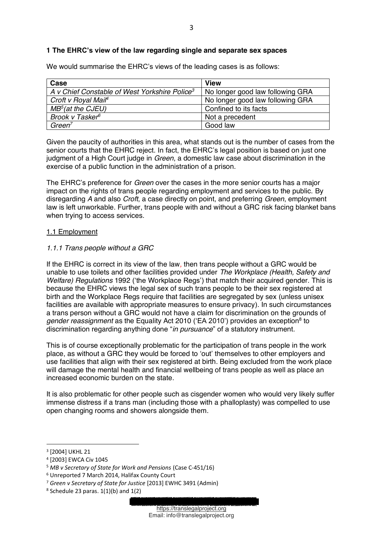## **1 The EHRC¶s view of the law regarding single and separate sex spaces**

We would summarise the EHRC's views of the leading cases is as follows:

| Case                                                      | <b>View</b>                      |
|-----------------------------------------------------------|----------------------------------|
| A v Chief Constable of West Yorkshire Police <sup>3</sup> | No longer good law following GRA |
| Croft v Royal Mail <sup>4</sup>                           | No longer good law following GRA |
| $MB^5$ (at the CJEU)                                      | Confined to its facts            |
| Brook v Tasker <sup>6</sup>                               | Not a precedent                  |
| Green <sup>7</sup>                                        | Good law                         |

Given the paucity of authorities in this area, what stands out is the number of cases from the senior courts that the EHRC reject. In fact, the EHRC's legal position is based on just one judgment of a High Court judge in *Green*, a domestic law case about discrimination in the exercise of a public function in the administration of a prison.

The EHRC's preference for *Green* over the cases in the more senior courts has a major impact on the rights of trans people regarding employment and services to the public. By disregarding *A* and also *Croft*, a case directly on point, and preferring *Green*, employment law is left unworkable. Further, trans people with and without a GRC risk facing blanket bans when trying to access services.

#### 1.1 Employment

#### *1.1.1 Trans people without a GRC*

If the EHRC is correct in its view of the law*,* then trans people without a GRC would be unable to use toilets and other facilities provided under *The Workplace (Health, Safety and Welfare) Regulations* 1992 ('the Workplace Regs') that match their acquired gender. This is because the EHRC views the legal sex of such trans people to be their sex registered at birth and the Workplace Regs require that facilities are segregated by sex (unless unisex facilities are available with appropriate measures to ensure privacy). In such circumstances a trans person without a GRC would not have a claim for discrimination on the grounds of *gender reassignment* as the Equality Act 2010 ('EA 2010') provides an exception<sup>8</sup> to discrimination regarding anything done "*in pursuance*" of a statutory instrument.

This is of course exceptionally problematic for the participation of trans people in the work place, as without a GRC they would be forced to 'out' themselves to other employers and use facilities that align with their sex registered at birth. Being excluded from the work place will damage the mental health and financial wellbeing of trans people as well as place an increased economic burden on the state.

It is also problematic for other people such as cisgender women who would very likely suffer immense distress if a trans man (including those with a phalloplasty) was compelled to use open changing rooms and showers alongside them.

<sup>3</sup> [2004] UKHL 21

<sup>4</sup> [2003] EWCA Civ 1045

<sup>5</sup> *MB v Secretary of State for Work and Pensions* (Case C-451/16)

<sup>6</sup> Unreported 7 March 2014, Halifax County Court

<sup>7</sup> *Green v Secretary of State for Justice* [2013] EWHC 3491 (Admin)

 $8$  Schedule 23 paras.  $1(1)(b)$  and  $1(2)$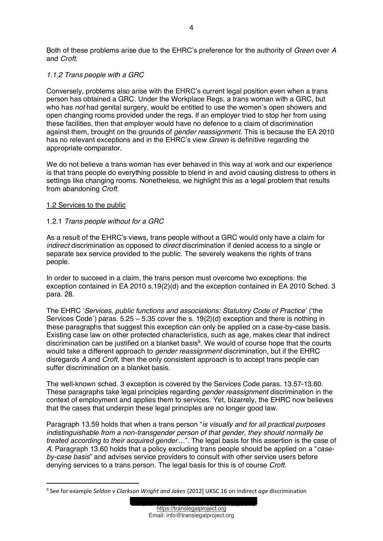Both of these problems arise due to the EHRC's preference for the authority of *Green* over A and *Croft*.

## *1.1.2 Trans people with a GRC*

Conversely, problems also arise with the EHRC's current legal position even when a trans person has obtained a GRC. Under the Workplace Regs, a trans woman with a GRC, but who has *not* had genital surgery, would be entitled to use the women's open showers and open changing rooms provided under the regs. If an employer tried to stop her from using these facilities, then that employer would have no defence to a claim of discrimination against them, brought on the grounds of *gender reassignment*. This is because the EA 2010 has no relevant exceptions and in the EHRC's view *Green* is definitive regarding the appropriate comparator.

We do not believe a trans woman has ever behaved in this way at work and our experience is that trans people do everything possible to blend in and avoid causing distress to others in settings like changing rooms. Nonetheless, we highlight this as a legal problem that results from abandoning *Croft*.

#### 1.2 Services to the public

#### 1.2.1 *Trans people without for a GRC*

As a result of the EHRC's views, trans people without a GRC would only have a claim for *indirect* discrimination as opposed to *direct* discrimination if denied access to a single or separate sex service provided to the public. The severely weakens the rights of trans people.

In order to succeed in a claim, the trans person must overcome two exceptions: the exception contained in EA 2010 s.19(2)(d) and the exception contained in EA 2010 Sched. 3 para. 28.

The EHRC 'Services, public functions and associations: Statutory Code of Practice' ('the Services Code') paras.  $5.25 - 5.35$  cover the s.  $19(2)(d)$  exception and there is nothing in these paragraphs that suggest this exception can only be applied on a case-by-case basis. Existing case law on other protected characteristics, such as age, makes clear that indirect discrimination can be justified on a blanket basis<sup>9</sup>. We would of course hope that the courts would take a different approach to *gender reassignment* discrimination, but if the EHRC disregards *A* and *Croft*, then the only consistent approach is to accept trans people can suffer discrimination on a blanket basis.

The well-known sched. 3 exception is covered by the Services Code paras. 13.57-13.60. These paragraphs take legal principles regarding *gender reassignment* discrimination in the context of employment and applies them to services. Yet, bizarrely, the EHRC now believes that the cases that underpin these legal principles are no longer good law.

Paragraph 13.59 holds that when a trans person "*is visually and for all practical purposes indistinguishable from a non-transgender person of that gender, they should normally be treated according to their acquired gender...*". The legal basis for this assertion is the case of A. Paragraph 13.60 holds that a policy excluding trans people should be applied on a "case*by-case basis*´ and advises service providers to consult with other service users before denying services to a trans person. The legal basis for this is of course *Croft*.

<sup>9</sup> See for example *Seldon v Clarkson Wright and Jakes* {2012] UKSC 16 on indirect *age* discrimination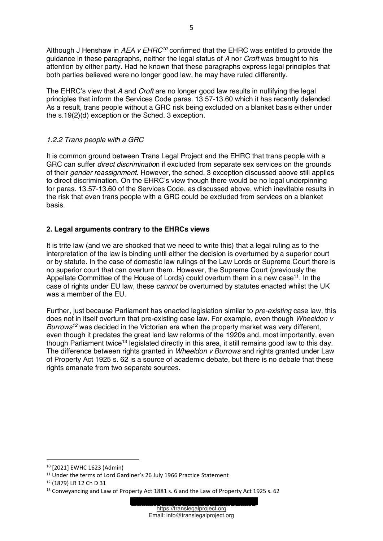Although J Henshaw in *AEA v EHRC<sup>10</sup>* confirmed that the EHRC was entitled to provide the guidance in these paragraphs, neither the legal status of *A* nor *Croft* was brought to his attention by either party. Had he known that these paragraphs express legal principles that both parties believed were no longer good law, he may have ruled differently.

The EHRC's view that A and *Croft* are no longer good law results in nullifying the legal principles that inform the Services Code paras. 13.57-13.60 which it has recently defended. As a result, trans people without a GRC risk being excluded on a blanket basis either under the s.19(2)(d) exception or the Sched. 3 exception.

# *1.2.2 Trans people with a GRC*

It is common ground between Trans Legal Project and the EHRC that trans people with a GRC can suffer *direct discriminatio*n if excluded from separate sex services on the grounds of their *gender reassignment*. However, the sched. 3 exception discussed above still applies to direct discrimination. On the EHRC's view though there would be no legal underpinning for paras. 13.57-13.60 of the Services Code, as discussed above, which inevitable results in the risk that even trans people with a GRC could be excluded from services on a blanket basis.

# **2. Legal arguments contrary to the EHRCs views**

It is trite law (and we are shocked that we need to write this) that a legal ruling as to the interpretation of the law is binding until either the decision is overturned by a superior court or by statute. In the case of domestic law rulings of the Law Lords or Supreme Court there is no superior court that can overturn them. However, the Supreme Court (previously the Appellate Committee of the House of Lords) could overturn them in a new case<sup>11</sup>. In the case of rights under EU law, these *cannot* be overturned by statutes enacted whilst the UK was a member of the EU.

Further, just because Parliament has enacted legislation similar to *pre-existing* case law, this does not in itself overturn that pre-existing case law. For example, even though *Wheeldon v Burrows12* was decided in the Victorian era when the property market was very different, even though it predates the great land law reforms of the 1920s and, most importantly, even though Parliament twice<sup>13</sup> legislated directly in this area, it still remains good law to this day. The difference between rights granted in *Wheeldon v Burrows* and rights granted under Law of Property Act 1925 s. 62 is a source of academic debate, but there is no debate that these rights emanate from two separate sources.

<sup>10</sup> [2021] EWHC 1623 (Admin)

<sup>&</sup>lt;sup>11</sup> Under the terms of Lord Gardiner's 26 July 1966 Practice Statement

<sup>12</sup> (1879) LR 12 Ch D 31

<sup>13</sup> Conveyancing and Law of Property Act 1881 s. 6 and the Law of Property Act 1925 s. 62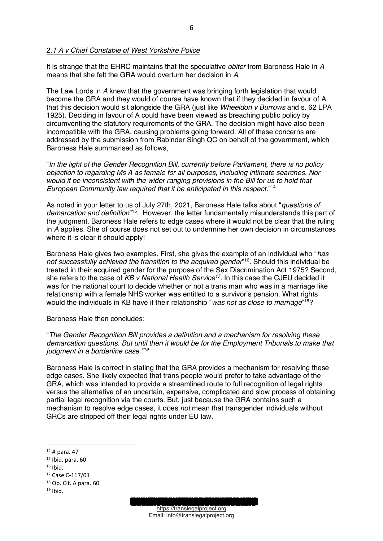It is strange that the EHRC maintains that the speculative *obiter* from Baroness Hale in *A* means that she felt the GRA would overturn her decision in *A*.

The Law Lords in *A* knew that the government was bringing forth legislation that would become the GRA and they would of course have known that if they decided in favour of A that this decision would sit alongside the GRA (just like *Wheeldon v Burrows* and s. 62 LPA 1925). Deciding in favour of A could have been viewed as breaching public policy by circumventing the statutory requirements of the GRA. The decision might have also been incompatible with the GRA, causing problems going forward. All of these concerns are addressed by the submission from Rabinder Singh QC on behalf of the government, which Baroness Hale summarised as follows,

³*In the light of the Gender Recognition Bill, currently before Parliament, there is no policy objection to regarding Ms A as female for all purposes, including intimate searches. Nor would it be inconsistent with the wider ranging provisions in the Bill for us to hold that*  European Community law required that it be anticipated in this respect."<sup>14</sup>

As noted in your letter to us of July 27th, 2021, Baroness Hale talks about "*questions of* demarcation and definition<sup>"15</sup>. However, the letter fundamentally misunderstands this part of the judgment. Baroness Hale refers to edge cases where it would not be clear that the ruling in *A* applies. She of course does not set out to undermine her own decision in circumstances where it is clear it should apply!

Baroness Hale gives two examples. First, she gives the example of an individual who "*has not successfully achieved the transition to the acquired gender*´ 16. Should this individual be treated in their acquired gender for the purpose of the Sex Discrimination Act 1975? Second, she refers to the case of *KB v National Health Service17.* In this case the CJEU decided it was for the national court to decide whether or not a trans man who was in a marriage like relationship with a female NHS worker was entitled to a survivor's pension. What rights would the individuals in KB have if their relationship "was not as close to marriage"<sup>18</sup>?

Baroness Hale then concludes:

³*The Gender Recognition Bill provides a definition and a mechanism for resolving these demarcation questions. But until then it would be for the Employment Tribunals to make that judgment in a borderline case.´ 19*

Baroness Hale is correct in stating that the GRA provides a mechanism for resolving these edge cases. She likely expected that trans people would prefer to take advantage of the GRA, which was intended to provide a streamlined route to full recognition of legal rights versus the alternative of an uncertain, expensive, complicated and slow process of obtaining partial legal recognition via the courts. But, just because the GRA contains such a mechanism to resolve edge cases, it does *not* mean that transgender individuals without GRCs are stripped off their legal rights under EU law.

<sup>14</sup> *A* para. 47

<sup>15</sup> Ibid. para. 60

 $16$  Ibid.

<sup>17</sup> Case C-117/01

<sup>18</sup> Op. Cit. A para. 60

 $19$  Ibid.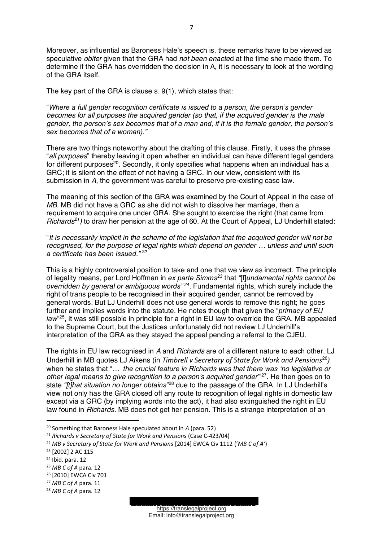Moreover, as influential as Baroness Hale's speech is, these remarks have to be viewed as speculative *obiter* given that the GRA had *not been enacte*d at the time she made them. To determine if the GRA has overridden the decision in A, it is necessary to look at the wording of the GRA itself.

The key part of the GRA is clause s. 9(1), which states that:

*<sup>a</sup>Where a full gender recognition certificate is issued to a person, the person's gender becomes for all purposes the acquired gender (so that, if the acquired gender is the male gender, the person's sex becomes that of a man and, if it is the female gender, the person's sex becomes that of a woman).´*

There are two things noteworthy about the drafting of this clause. Firstly, it uses the phrase "all purposes" thereby leaving it open whether an individual can have different legal genders for different purposes<sup>20</sup>. Secondly, it only specifies what happens when an individual has a GRC; it is silent on the effect of not having a GRC. In our view, consistent with its submission in *A*, the government was careful to preserve pre-existing case law.

The meaning of this section of the GRA was examined by the Court of Appeal in the case of *MB*. MB did not have a GRC as she did not wish to dissolve her marriage, then a requirement to acquire one under GRA. She sought to exercise the right (that came from *Richards<sup>21</sup>*) to draw her pension at the age of 60. At the Court of Appeal, LJ Underhill stated:

³*It is necessarily implicit in the scheme of the legislation that the acquired gender will not be recognised, for the purpose of legal rights which depend on gender ... unless and until such a certificate has been issued.´ <sup>22</sup>*

This is a highly controversial position to take and one that we view as incorrect. The principle of legality means, per Lord Hoffman in *ex parte Simms23* that *³*[f]*undamental rights cannot be overridden by general or ambiguous words*<sup>"24</sup>. Fundamental rights, which surely include the right of trans people to be recognised in their acquired gender, cannot be removed by general words. But LJ Underhill does not use general words to remove this right; he goes further and implies words into the statute. He notes though that given the "*primacy of EU* law<sup>"25</sup>, it was still possible in principle for a right in EU law to override the GRA. MB appealed to the Supreme Court, but the Justices unfortunately did not review LJ Underhill's interpretation of the GRA as they stayed the appeal pending a referral to the CJEU.

The rights in EU law recognised in *A* and *Richards* are of a different nature to each other. LJ Underhill in MB quotes LJ Aikens (in *Timbrell v Secretary of State for Work and Pensions*<sup>26</sup>*)* when he states that "... the crucial feature in Richards was that there was 'no legislative or *other legal means to give recognition to a person's acquired gender*<sup>37</sup>. He then goes on to state "*[t]hat situation no longer obtains*"<sup>28</sup> due to the passage of the GRA. In LJ Underhill's view not only has the GRA closed off any route to recognition of legal rights in domestic law except via a GRC (by implying words into the act), it had also extinguished the right in EU law found in *Richards.* MB does not get her pension. This is a strange interpretation of an

<sup>27</sup> *MB C of A* para. 11

https://translegalproject.org Email: info@translegalproject.org

<sup>20</sup> Something that Baroness Hale speculated about in *A* (para. 52)

<sup>&</sup>lt;sup>21</sup> *Richards v Secretary of State for Work and Pensions* (Case C-423/04)<br><sup>22</sup> *MB v Secretary of State for Work and Pensions* [2014] EWCA Civ 1112 ('*MB C of A'*)

<sup>23</sup> [2002] 2 AC 115

<sup>24</sup> Ibid. para. 12

<sup>25</sup> *MB C of A* para. 12

<sup>26</sup> [2010] EWCA Civ 701

<sup>28</sup> *MB C of A* para. 12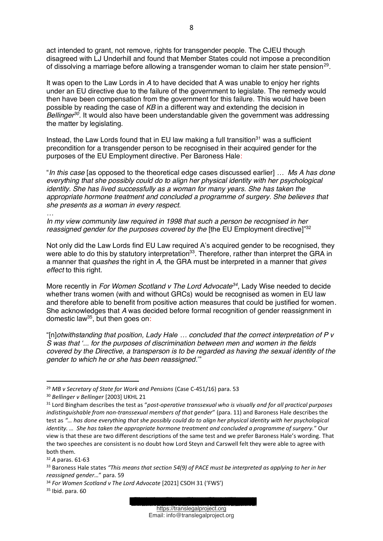act intended to grant, not remove, rights for transgender people. The CJEU though disagreed with LJ Underhill and found that Member States could not impose a precondition of dissolving a marriage before allowing a transgender woman to claim her state pension29.

It was open to the Law Lords in *A* to have decided that A was unable to enjoy her rights under an EU directive due to the failure of the government to legislate. The remedy would then have been compensation from the government for this failure. This would have been possible by reading the case of *KB* in a different way and extending the decision in *Bellinger*<sup>30</sup>. It would also have been understandable given the government was addressing the matter by legislating.

Instead, the Law Lords found that in EU law making a full transition<sup>31</sup> was a sufficient precondition for a transgender person to be recognised in their acquired gender for the purposes of the EU Employment directive. Per Baroness Hale:

³*In this case* [as opposed to the theoretical edge cases discussed earlier] *« Ms A has done everything that she possibly could do to align her physical identity with her psychological identity. She has lived successfully as a woman for many years. She has taken the appropriate hormone treatment and concluded a programme of surgery. She believes that she presents as a woman in every respect.*

*« In my view community law required in 1998 that such a person be recognised in her*  reassigned gender for the purposes covered by the [the EU Employment directive]"<sup>32</sup>

Not only did the Law Lords find EU Law required A's acquired gender to be recognised, they were able to do this by statutory interpretation<sup>33</sup>. Therefore, rather than interpret the GRA in a manner that *quashes* the right in *A*, the GRA must be interpreted in a manner that *gives effect* to this right.

More recently in *For Women Scotland v The Lord Advocate34*, Lady Wise needed to decide whether trans women (with and without GRCs) would be recognised as women in EU law and therefore able to benefit from positive action measures that could be justified for women*.* She acknowledges that *A* was decided before formal recognition of gender reassignment in domestic law35, but then goes on:

³[n]*otwithstanding that position, Lady Hale « concluded that the correct interpretation of P v S was that µ... for the purposes of discrimination between men and women in the fields covered by the Directive, a transperson is to be regarded as having the sexual identity of the gender to which he or she has been reassigned.*"

<sup>29</sup> *MB v Secretary of State for Work and Pensions* (Case C-451/16) para. 53

<sup>30</sup> *Bellinger v Bellinger* [2003] UKHL 21

<sup>&</sup>lt;sup>31</sup> Lord Bingham describes the test as "post-operative transsexual who is visually and for all practical purposes *indistinguishable from non-transsexual members of that gender''* (para. 11) and Baroness Hale describes the test as *"… has done everything that she possibly could do to align her physical identity with her psychological identity. ...* She has taken the appropriate hormone treatment and concluded a programme of surgery." Our view is that these are two different descriptions of the same test and we prefer Baroness Hale's wording. That the two speeches are consistent is no doubt how Lord Steyn and Carswell felt they were able to agree with both them.

<sup>32</sup> *A* paras. 61-63

<sup>33</sup> Baroness Hale states "This means that section 54(9) of PACE must be interpreted as applying to her in her *reassigned gender...*" para. 59

<sup>34</sup> For Women Scotland v The Lord Advocate [2021] CSOH 31 ('FWS')

 $35$  Ibid. para. 60

https://translegalproject.org Email: info@translegalproject.org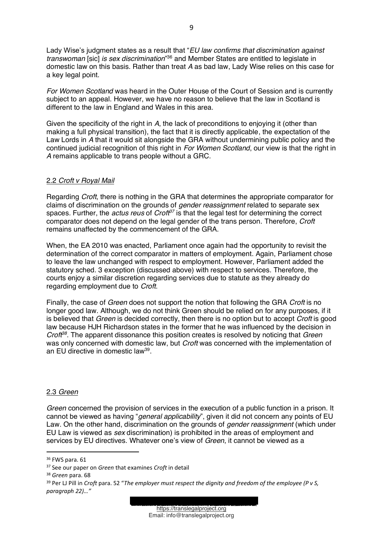Lady Wise's judgment states as a result that "*EU law confirms that discrimination against* transwoman [sic] *is sex discrimination*"<sup>36</sup> and Member States are entitled to legislate in domestic law on this basis. Rather than treat *A* as bad law, Lady Wise relies on this case for a key legal point.

*For Women Scotland* was heard in the Outer House of the Court of Session and is currently subject to an appeal. However, we have no reason to believe that the law in Scotland is different to the law in England and Wales in this area.

Given the specificity of the right in *A*, the lack of preconditions to enjoying it (other than making a full physical transition), the fact that it is directly applicable, the expectation of the Law Lords in *A* that it would sit alongside the GRA without undermining public policy and the continued judicial recognition of this right in *For Women Scotland*, our view is that the right in *A* remains applicable to trans people without a GRC.

## 2.2 *Croft v Royal Mail*

Regarding *Croft*, there is nothing in the GRA that determines the appropriate comparator for claims of discrimination on the grounds of *gender reassignment* related to separate sex spaces. Further, the *actus reus* of *Croft*<sup>37</sup> is that the legal test for determining the correct comparator does not depend on the legal gender of the trans person. Therefore, *Croft* remains unaffected by the commencement of the GRA.

When, the EA 2010 was enacted, Parliament once again had the opportunity to revisit the determination of the correct comparator in matters of employment. Again, Parliament chose to leave the law unchanged with respect to employment. However, Parliament added the statutory sched. 3 exception (discussed above) with respect to services. Therefore, the courts enjoy a similar discretion regarding services due to statute as they already do regarding employment due to *Croft*.

Finally, the case of *Green* does not support the notion that following the GRA *Croft* is no longer good law. Although, we do not think Green should be relied on for any purposes, if it is believed that *Green* is decided correctly, then there is no option but to accept *Croft* is good law because HJH Richardson states in the former that he was influenced by the decision in *Croft38*. The apparent dissonance this position creates is resolved by noticing that *Green* was only concerned with domestic law, but *Croft* was concerned with the implementation of an EU directive in domestic law39.

#### 2.3 *Green*

*Green* concerned the provision of services in the execution of a public function in a prison. It cannot be viewed as having "*general applicability*", given it did not concern any points of EU Law. On the other hand, discrimination on the grounds of *gender reassignment* (which under EU Law is viewed as *sex* discrimination) is prohibited in the areas of employment and services by EU directives. Whatever one's view of *Green*, it cannot be viewed as a



<sup>36</sup> FWS para. 61

<sup>37</sup> See our paper on *Green* that examines *Croft* in detail

<sup>38</sup> *Green* para. 68

<sup>&</sup>lt;sup>39</sup> Per LJ Pill in *Croft* para. 52 "The employer must respect the dignity and freedom of the employee (P v S, *paragraph 22)…"*